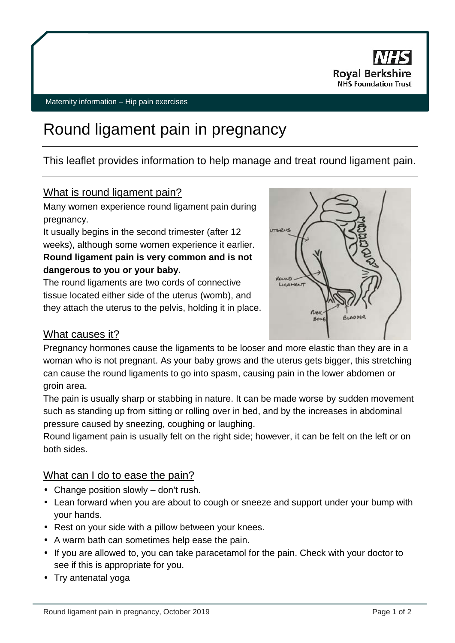

# Round ligament pain in pregnancy

### This leaflet provides information to help manage and treat round ligament pain.

#### What is round ligament pain?

Many women experience round ligament pain during pregnancy.

It usually begins in the second trimester (after 12 weeks), although some women experience it earlier. **Round ligament pain is very common and is not dangerous to you or your baby.**

The round ligaments are two cords of connective tissue located either side of the uterus (womb), and they attach the uterus to the pelvis, holding it in place.



#### What causes it?

Pregnancy hormones cause the ligaments to be looser and more elastic than they are in a woman who is not pregnant. As your baby grows and the uterus gets bigger, this stretching can cause the round ligaments to go into spasm, causing pain in the lower abdomen or groin area.

The pain is usually sharp or stabbing in nature. It can be made worse by sudden movement such as standing up from sitting or rolling over in bed, and by the increases in abdominal pressure caused by sneezing, coughing or laughing.

Round ligament pain is usually felt on the right side; however, it can be felt on the left or on both sides.

#### What can I do to ease the pain?

- Change position slowly don't rush.
- Lean forward when you are about to cough or sneeze and support under your bump with your hands.
- Rest on your side with a pillow between your knees.
- A warm bath can sometimes help ease the pain.
- If you are allowed to, you can take paracetamol for the pain. Check with your doctor to see if this is appropriate for you.
- . Try antenatal yoga